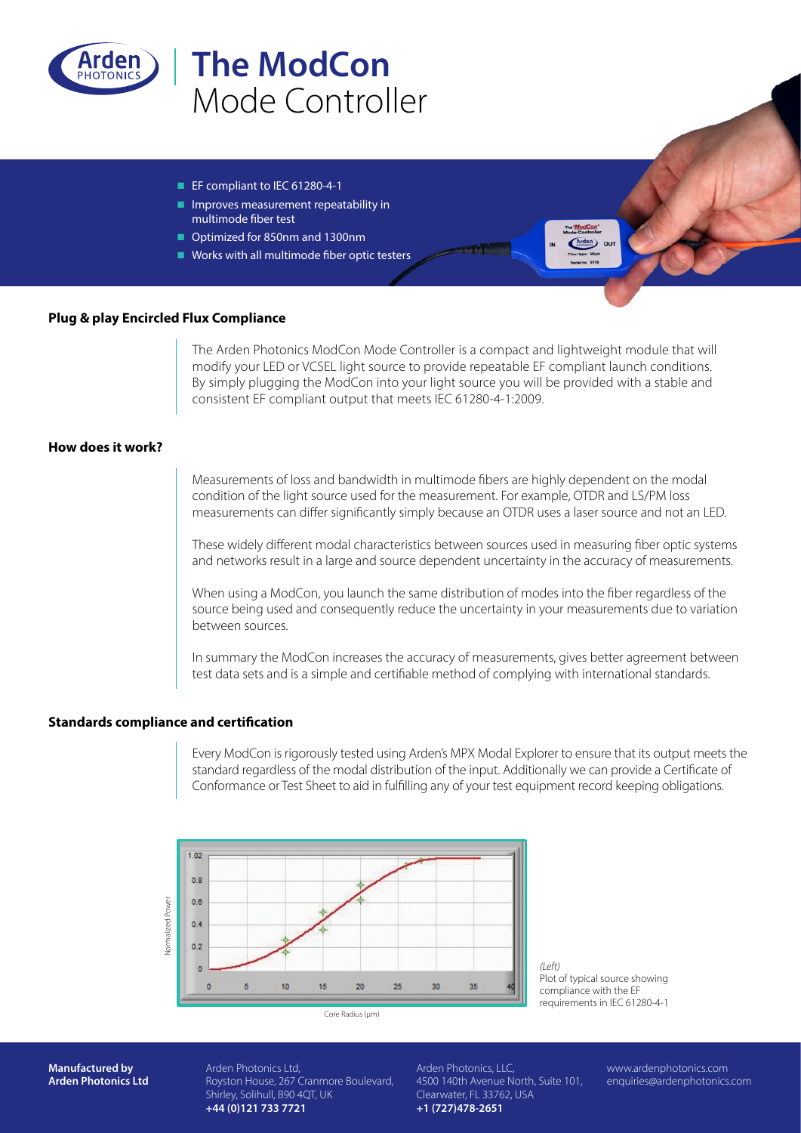

# **The ModCon** Mode Controller

- $\blacksquare$  EF compliant to IEC 61280-4-1
- $\blacksquare$  Improves measurement repeatability in multimode fiber test
- Optimized for 850nm and 1300nm
- $\blacksquare$  Works with all multimode fiber optic testers

## **Plug & play Encircled Flux Compliance**

The Arden Photonics ModCon Mode Controller is a compact and lightweight module that will modify your LED or VCSEL light source to provide repeatable EF compliant launch conditions. By simply plugging the ModCon into your light source you will be provided with a stable and consistent EF compliant output that meets IEC 61280-4-1:2009.

## **How does it work?**

Measurements of loss and bandwidth in multimode fibers are highly dependent on the modal condition of the light source used for the measurement. For example, OTDR and LS/PM loss measurements can differ significantly simply because an OTDR uses a laser source and not an LED.

These widely different modal characteristics between sources used in measuring fiber optic systems and networks result in a large and source dependent uncertainty in the accuracy of measurements.

When using a ModCon, you launch the same distribution of modes into the fiber regardless of the source being used and consequently reduce the uncertainty in your measurements due to variation between sources.

In summary the ModCon increases the accuracy of measurements, gives better agreement between test data sets and is a simple and certifiable method of complying with international standards.

## **Standards compliance and certification**

Every ModCon is rigorously tested using Arden's MPX Modal Explorer to ensure that its output meets the standard regardless of the modal distribution of the input. Additionally we can provide a Certificate of Conformance or Test Sheet to aid in fulfilling any of your test equipment record keeping obligations.



*(Left)* Plot of typical source showing compliance with the EF requirements in IEC 61280-4-1

**Manufactured by Arden Photonics Ltd** Arden Photonics Ltd, Royston House, 267 Cranmore Boulevard, Shirley, Solihull, B90 4QT, UK **+44 (0)121 733 7721**

Arden Photonics, LLC, 4500 140th Avenue North, Suite 101, Clearwater, FL 33762, USA **+1 (727)478-2651**

www.ardenphotonics.com enquiries@ardenphotonics.com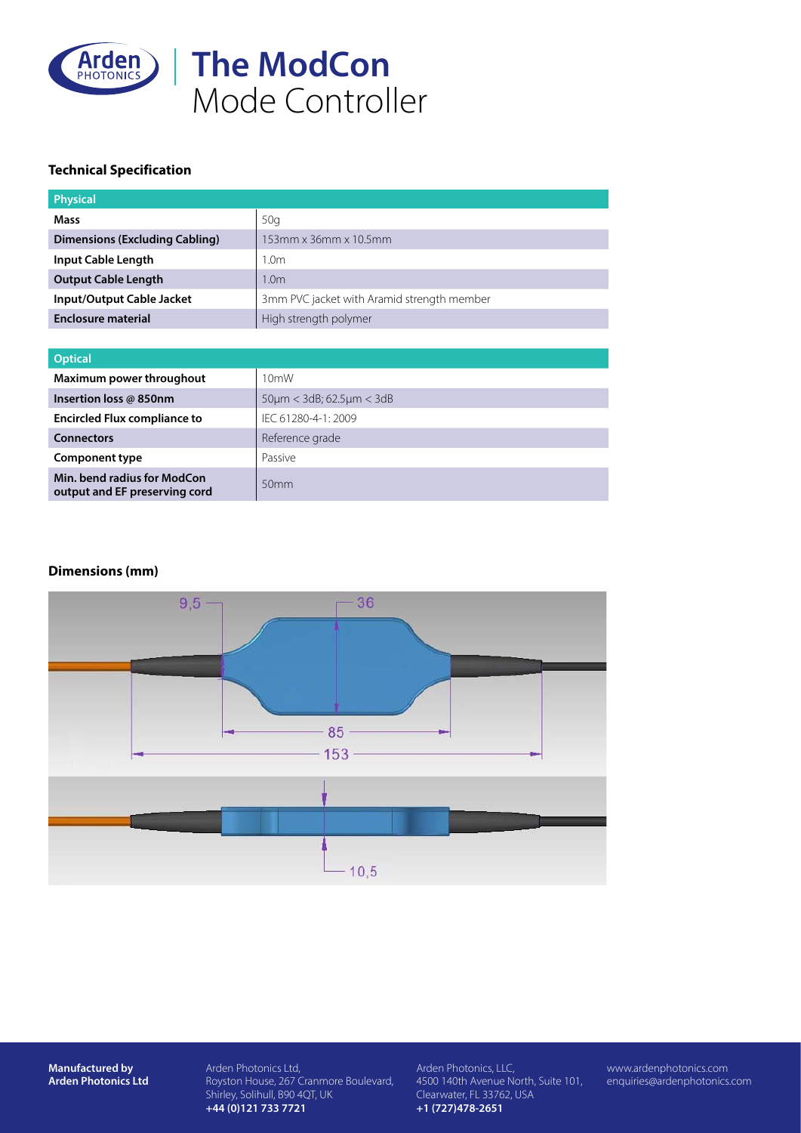

## **Technical Specification**

| <b>Physical</b>                       |                                            |  |
|---------------------------------------|--------------------------------------------|--|
| Mass                                  | 50q                                        |  |
| <b>Dimensions (Excluding Cabling)</b> | 153mm x 36mm x 10.5mm                      |  |
| Input Cable Length                    | 1.0m                                       |  |
| <b>Output Cable Length</b>            | 1.0m                                       |  |
| Input/Output Cable Jacket             | 3mm PVC jacket with Aramid strength member |  |
| <b>Enclosure material</b>             | High strength polymer                      |  |

| <b>Optical</b>                                               |                                         |  |
|--------------------------------------------------------------|-----------------------------------------|--|
| Maximum power throughout                                     | 10 <sub>m</sub> W                       |  |
| Insertion loss @ 850nm                                       | $50 \mu m < 3 dB$ ; 62.5 $\mu m < 3 dB$ |  |
| <b>Encircled Flux compliance to</b>                          | IFC 61280-4-1: 2009                     |  |
| <b>Connectors</b>                                            | Reference grade                         |  |
| <b>Component type</b>                                        | Passive                                 |  |
| Min. bend radius for ModCon<br>output and EF preserving cord | 50 <sub>mm</sub>                        |  |

## **Dimensions (mm)**



**Manufactured by Arden Photonics Ltd** Arden Photonics Ltd, Royston House, 267 Cranmore Boulevard, Shirley, Solihull, B90 4QT, UK **+44 (0)121 733 7721**

Arden Photonics, LLC, 4500 140th Avenue North, Suite 101, Clearwater, FL 33762, USA **+1 (727)478-2651**

www.ardenphotonics.com enquiries@ardenphotonics.com